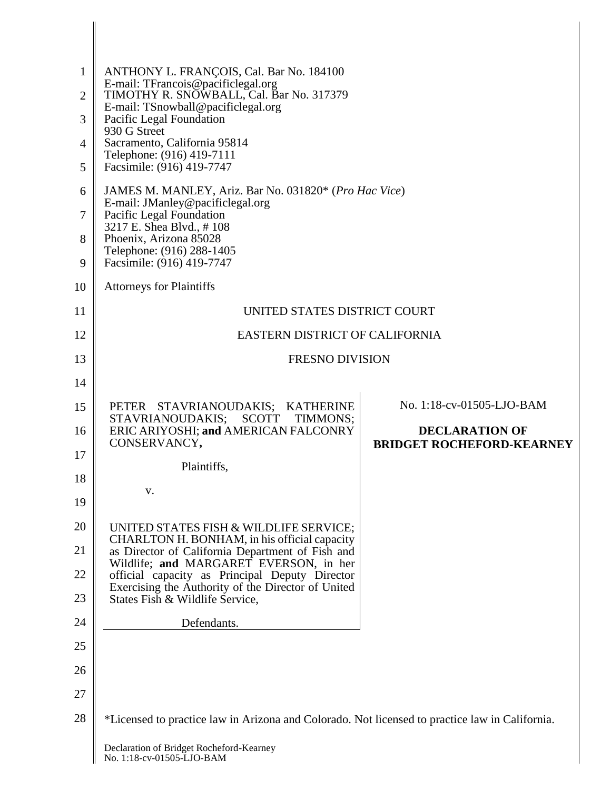| $\mathbf{1}$<br>$\overline{2}$ | ANTHONY L. FRANÇOIS, Cal. Bar No. 184100<br>E-mail: TFrancois@pacificlegal.org<br>TIMOTHY R. SNOWBALL, Cal. Bar No. 317379 |                                                           |
|--------------------------------|----------------------------------------------------------------------------------------------------------------------------|-----------------------------------------------------------|
| 3                              | E-mail: TSnowball@pacificlegal.org<br>Pacific Legal Foundation<br>930 G Street                                             |                                                           |
| $\overline{4}$                 | Sacramento, California 95814                                                                                               |                                                           |
| 5                              | Telephone: (916) 419-7111<br>Facsimile: (916) 419-7747                                                                     |                                                           |
| 6                              | JAMES M. MANLEY, Ariz. Bar No. 031820* (Pro Hac Vice)<br>E-mail: JManley@pacificlegal.org                                  |                                                           |
| 7                              | Pacific Legal Foundation<br>3217 E. Shea Blvd., #108                                                                       |                                                           |
| 8                              | Phoenix, Arizona 85028<br>Telephone: (916) 288-1405                                                                        |                                                           |
| 9                              | Facsimile: (916) 419-7747                                                                                                  |                                                           |
| 10                             | <b>Attorneys for Plaintiffs</b>                                                                                            |                                                           |
| 11                             | UNITED STATES DISTRICT COURT                                                                                               |                                                           |
| 12                             | EASTERN DISTRICT OF CALIFORNIA                                                                                             |                                                           |
| 13                             | <b>FRESNO DIVISION</b>                                                                                                     |                                                           |
| 14                             |                                                                                                                            |                                                           |
| 15                             | PETER STAVRIANOUDAKIS; KATHERINE<br>STAVRIANOUDAKIS;<br>SCOTT<br>TIMMONS;                                                  | No. 1:18-cv-01505-LJO-BAM                                 |
| 16                             | ERIC ARIYOSHI; and AMERICAN FALCONRY<br>CONSERVANCY,                                                                       | <b>DECLARATION OF</b><br><b>BRIDGET ROCHEFORD-KEARNEY</b> |
| 17<br>18                       | Plaintiffs,                                                                                                                |                                                           |
| 19                             | V.                                                                                                                         |                                                           |
| 20                             | UNITED STATES FISH & WILDLIFE SERVICE;                                                                                     |                                                           |
| 21                             | CHARLTON H. BONHAM, in his official capacity<br>as Director of California Department of Fish and                           |                                                           |
| 22                             | Wildlife; and MARGARET EVERSON, in her<br>official capacity as Principal Deputy Director                                   |                                                           |
| 23                             | Exercising the Authority of the Director of United<br>States Fish & Wildlife Service,                                      |                                                           |
| 24                             | Defendants.                                                                                                                |                                                           |
| 25                             |                                                                                                                            |                                                           |
| 26                             |                                                                                                                            |                                                           |
| 27                             |                                                                                                                            |                                                           |
| 28                             | *Licensed to practice law in Arizona and Colorado. Not licensed to practice law in California.                             |                                                           |
|                                | Declaration of Bridget Rocheford-Kearney                                                                                   |                                                           |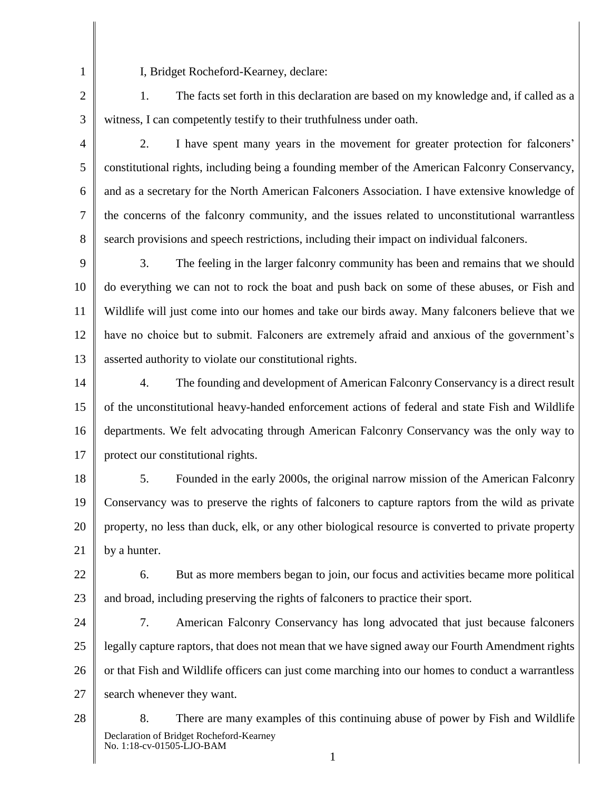1 2 I, Bridget Rocheford-Kearney, declare:

3 1. The facts set forth in this declaration are based on my knowledge and, if called as a witness, I can competently testify to their truthfulness under oath.

4

5

6

7

8

2. I have spent many years in the movement for greater protection for falconers' constitutional rights, including being a founding member of the American Falconry Conservancy, and as a secretary for the North American Falconers Association. I have extensive knowledge of the concerns of the falconry community, and the issues related to unconstitutional warrantless search provisions and speech restrictions, including their impact on individual falconers.

9 10 11 12 13 3. The feeling in the larger falconry community has been and remains that we should do everything we can not to rock the boat and push back on some of these abuses, or Fish and Wildlife will just come into our homes and take our birds away. Many falconers believe that we have no choice but to submit. Falconers are extremely afraid and anxious of the government's asserted authority to violate our constitutional rights.

14 15 16 17 4. The founding and development of American Falconry Conservancy is a direct result of the unconstitutional heavy-handed enforcement actions of federal and state Fish and Wildlife departments. We felt advocating through American Falconry Conservancy was the only way to protect our constitutional rights.

18 19 20 21 5. Founded in the early 2000s, the original narrow mission of the American Falconry Conservancy was to preserve the rights of falconers to capture raptors from the wild as private property, no less than duck, elk, or any other biological resource is converted to private property by a hunter.

22 23 6. But as more members began to join, our focus and activities became more political and broad, including preserving the rights of falconers to practice their sport.

24 25 26 27 7. American Falconry Conservancy has long advocated that just because falconers legally capture raptors, that does not mean that we have signed away our Fourth Amendment rights or that Fish and Wildlife officers can just come marching into our homes to conduct a warrantless search whenever they want.

28 Declaration of Bridget Rocheford-Kearney No. 1:18-cv-01505-LJO-BAM 8. There are many examples of this continuing abuse of power by Fish and Wildlife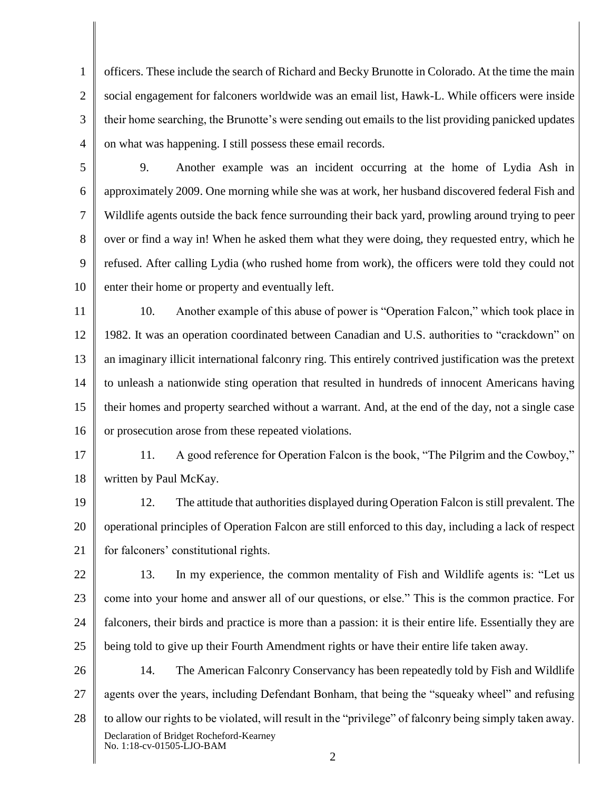1 2 3 4 officers. These include the search of Richard and Becky Brunotte in Colorado. At the time the main social engagement for falconers worldwide was an email list, Hawk-L. While officers were inside their home searching, the Brunotte's were sending out emails to the list providing panicked updates on what was happening. I still possess these email records.

5

6 7 8 9 10 9. Another example was an incident occurring at the home of Lydia Ash in approximately 2009. One morning while she was at work, her husband discovered federal Fish and Wildlife agents outside the back fence surrounding their back yard, prowling around trying to peer over or find a way in! When he asked them what they were doing, they requested entry, which he refused. After calling Lydia (who rushed home from work), the officers were told they could not enter their home or property and eventually left.

11 12 13 14 15 16 10. Another example of this abuse of power is "Operation Falcon," which took place in 1982. It was an operation coordinated between Canadian and U.S. authorities to "crackdown" on an imaginary illicit international falconry ring. This entirely contrived justification was the pretext to unleash a nationwide sting operation that resulted in hundreds of innocent Americans having their homes and property searched without a warrant. And, at the end of the day, not a single case or prosecution arose from these repeated violations.

17 18 11. A good reference for Operation Falcon is the book, "The Pilgrim and the Cowboy," written by Paul McKay.

19 20 21 12. The attitude that authorities displayed during Operation Falcon is still prevalent. The operational principles of Operation Falcon are still enforced to this day, including a lack of respect for falconers' constitutional rights.

22 23 24 25 13. In my experience, the common mentality of Fish and Wildlife agents is: "Let us come into your home and answer all of our questions, or else." This is the common practice. For falconers, their birds and practice is more than a passion: it is their entire life. Essentially they are being told to give up their Fourth Amendment rights or have their entire life taken away.

26 27 28 Declaration of Bridget Rocheford-Kearney No. 1:18-cv-01505-LJO-BAM 14. The American Falconry Conservancy has been repeatedly told by Fish and Wildlife agents over the years, including Defendant Bonham, that being the "squeaky wheel" and refusing to allow our rights to be violated, will result in the "privilege" of falconry being simply taken away.